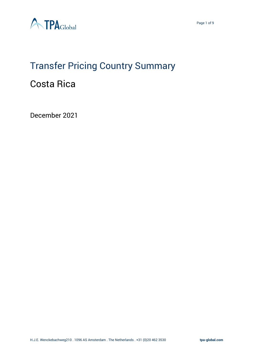

# Transfer Pricing Country Summary

# Costa Rica

December 2021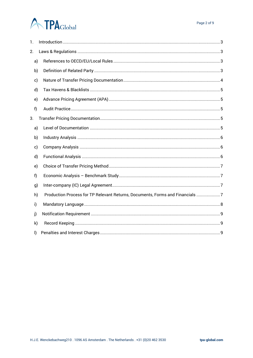# **ATPA**Global

| 1. |                                                                               |
|----|-------------------------------------------------------------------------------|
| 2. |                                                                               |
| a) |                                                                               |
| b) |                                                                               |
| c) |                                                                               |
| d) |                                                                               |
| e) |                                                                               |
| f) |                                                                               |
| 3. |                                                                               |
| a) |                                                                               |
| b) |                                                                               |
| c) |                                                                               |
| d) |                                                                               |
| e) |                                                                               |
| f) |                                                                               |
| g) |                                                                               |
| h) | Production Process for TP Relevant Returns, Documents, Forms and Financials 7 |
| i) |                                                                               |
| j) |                                                                               |
| k) |                                                                               |
| I) |                                                                               |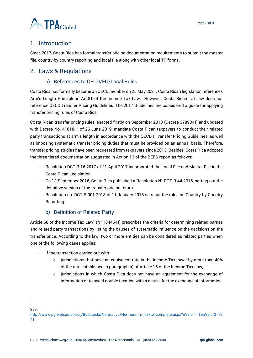

# <span id="page-2-0"></span>1. Introduction

Since 2017, Costa Rica has formal transfer pricing documentation requirements to submit the master file, country-by-country reporting and local file along with other local TP forms.

# <span id="page-2-2"></span><span id="page-2-1"></span>2. Laws & Regulations

# a) References to OECD/EU/Local Rules

Costa Rica has formally become an OECD member on 25 May 2021. Costa Rican legislation references Arm's Length Principle in Art.81 of the Income Tax Law. However, Costa Rican Tax law does not reference OECD Transfer Pricing Guidelines. The 2017 Guidelines are considered a guide for applying transfer pricing rules of Costa Rica.

Costa Rican transfer pricing rules, enacted firstly on September 2013 (Decree 37898-H) and updated with Decree No. 41818-H of 26 June 2019, mandate Costa Rican taxpayers to conduct their related party transactions at arm's length in accordance with the OECD's Transfer Pricing Guidelines, as well as imposing systematic transfer pricing duties that must be provided on an annual basis. Therefore, transfer pricing studies have been requested from taxpayers since 2013. Besides, Costa Rica adopted the three-tiered documentation suggested in Action 13 of the BEPS report as follows:

- Resolution DGT-R-16-2017 of 21 April 2017 incorporated the Local File and Master File in the Costa Rican Legislation.
- On 13 September 2016, Costa Rica published a Resolution N° DGT-R-44-2016, setting out the definitive version of the transfer pricing return.
- Resolution no. DGT-R-001-2018 of 11 January 2018 sets out the rules on Country-by-Country Reporting.

# b) Definition of Related Party

<span id="page-2-3"></span>Article 68 of the Income Tax Law<sup>1</sup> (N° 18445-H) prescribes the criteria for determining related parties and related party transactions by listing the causes of systematic influence on the decisions on the transfer price. According to the law, two or more entities can be considered as related parties when one of the following cases applies:

- If the transaction carried out with
	- $\circ$  jurisdictions that have an equivalent rate in the Income Tax lower by more than 40% of the rate established in paragraph a) of Article 15 of the Income Tax Law,
	- $\circ$  jurisdictions in which Costa Rica does not have an agreement for the exchange of information or to avoid double taxation with a clause for the exchange of information.
- 1

See:

[http://www.pgrweb.go.cr/scij/Busqueda/Normativa/Normas/nrm\\_texto\\_completo.aspx?nValor1=1&nValor2=72](http://www.pgrweb.go.cr/scij/Busqueda/Normativa/Normas/nrm_texto_completo.aspx?nValor1=1&nValor2=7241) [41](http://www.pgrweb.go.cr/scij/Busqueda/Normativa/Normas/nrm_texto_completo.aspx?nValor1=1&nValor2=7241)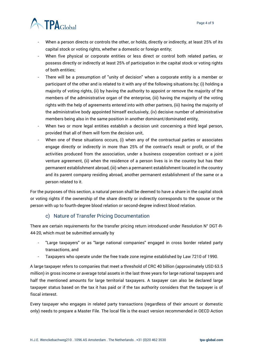

- When a person directs or controls the other, or holds, directly or indirectly, at least 25% of its capital stock or voting rights, whether a domestic or foreign entity;
- When five physical or corporate entities or less direct or control both related parties, or possess directly or indirectly at least 25% of participation in the capital stock or voting rights of both entities;
- There will be a presumption of "unity of decision" when a corporate entity is a member or participant of the other and is related to it with any of the following situations by; (i) holding a majority of voting rights, (ii) by having the authority to appoint or remove the majority of the members of the administrative organ of the enterprise, (iii) having the majority of the voting rights with the help of agreements entered into with other partners, (iii) having the majority of the administrative body appointed himself exclusively, (iv) decisive number of administrative members being also in the same position in another dominant/dominated entity,
- When two or more legal entities establish a decision unit concerning a third legal person, provided that all of them will form the decision unit,
- When one of these situations occurs, (i) when any of the contractual parties or associates engage directly or indirectly in more than 25% of the contract's result or profit, or of the activities produced from the association, under a business cooperation contract or a joint venture agreement, (ii) when the residence of a person lives is in the country but has their permanent establishment abroad, (iii) when a permanent establishment located in the country and its parent company residing abroad, another permanent establishment of the same or a person related to it.

For the purposes of this section, a natural person shall be deemed to have a share in the capital stock or voting rights if the ownership of the share directly or indirectly corresponds to the spouse or the person with up to fourth-degree blood relation or second-degree indirect blood relation.

# c) Nature of Transfer Pricing Documentation

<span id="page-3-0"></span>There are certain requirements for the transfer pricing return introduced under Resolution N° DGT-R-44-20, which must be submitted annually by

- "Large taxpayers" or as "large national companies" engaged in cross border related party transactions, and
- Taxpayers who operate under the free trade zone regime established by Law 7210 of 1990.

A large taxpayer refers to companies that meet a threshold of CRC 40 billion (approximately USD 63.5 million) in gross income or average total assets in the last three years for large national taxpayers and half the mentioned amounts for large territorial taxpayers. A taxpayer can also be declared large taxpayer status based on the tax it has paid or if the tax authority considers that the taxpayer is of fiscal interest.

Every taxpayer who engages in related party transactions (regardless of their amount or domestic only) needs to prepare a Master File. The local file is the exact version recommended in OECD Action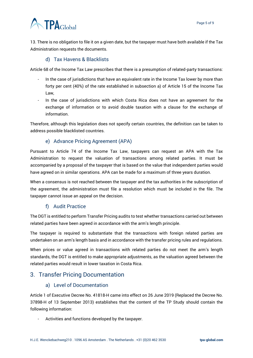

13. There is no obligation to file it on a given date, but the taxpayer must have both available if the Tax Administration requests the documents.

#### d) Tax Havens & Blacklists

<span id="page-4-0"></span>Article 68 of the Income Tax Law prescribes that there is a presumption of related-party transactions:

- In the case of jurisdictions that have an equivalent rate in the Income Tax lower by more than forty per cent (40%) of the rate established in subsection a) of Article 15 of the Income Tax Law,
- In the case of jurisdictions with which Costa Rica does not have an agreement for the exchange of information or to avoid double taxation with a clause for the exchange of information.

Therefore, although this legislation does not specify certain countries, the definition can be taken to address possible blacklisted countries.

#### e) Advance Pricing Agreement (APA)

<span id="page-4-1"></span>Pursuant to Article 74 of the Income Tax Law, taxpayers can request an APA with the Tax Administration to request the valuation of transactions among related parties. It must be accompanied by a proposal of the taxpayer that is based on the value that independent parties would have agreed on in similar operations. APA can be made for a maximum of three years duration.

When a consensus is not reached between the taxpayer and the tax authorities in the subscription of the agreement, the administration must file a resolution which must be included in the file. The taxpayer cannot issue an appeal on the decision.

#### f) Audit Practice

<span id="page-4-2"></span>The DGT is entitled to perform Transfer Pricing audits to test whether transactions carried out between related parties have been agreed in accordance with the arm's length principle.

The taxpayer is required to substantiate that the transactions with foreign related parties are undertaken on an arm's length basis and in accordance with the transfer pricing rules and regulations.

When prices or value agreed in transactions with related parties do not meet the arm's length standards, the DGT is entitled to make appropriate adjustments, as the valuation agreed between the related parties would result in lower taxation in Costa Rica.

# <span id="page-4-4"></span><span id="page-4-3"></span>3. Transfer Pricing Documentation

#### a) Level of Documentation

Article 1 of Executive Decree No. 41818-H came into effect on 26 June 2019 (Replaced the Decree No. 37898-H of 13 September 2013) establishes that the content of the TP Study should contain the following information:

- Activities and functions developed by the taxpayer.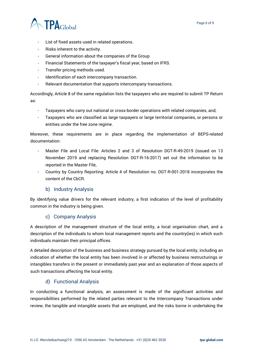

- List of fixed assets used in related operations.
- Risks inherent to the activity.
- General information about the companies of the Group
- Financial Statements of the taxpayer's fiscal year, based on IFRS.
- Transfer pricing methods used.
- Identification of each intercompany transaction.
- Relevant documentation that supports intercompany transactions.

Accordingly, Article 8 of the same regulation lists the taxpayers who are required to submit TP Return as:

- Taxpayers who carry out national or cross-border operations with related companies, and,
- Taxpayers who are classified as large taxpayers or large territorial companies, or persons or entities under the free zone regime.

Moreover, these requirements are in place regarding the implementation of BEPS-related documentation:

- Master File and Local File: Articles 2 and 3 of Resolution DGT-R-49-2019 (issued on 13 November 2019 and replacing Resolution DGT-R-16-2017) set out the information to be reported in the Master File,
- Country by Country Reporting: Article 4 of Resolution no. DGT-R-001-2018 incorporates the content of the CbCR.

#### b) Industry Analysis

<span id="page-5-0"></span>By identifying value drivers for the relevant industry, a first indication of the level of profitability common in the industry is being given.

#### c) Company Analysis

<span id="page-5-1"></span>A description of the management structure of the local entity, a local organisation chart, and a description of the individuals to whom local management reports and the country(ies) in which such individuals maintain their principal offices.

A detailed description of the business and business strategy pursued by the local entity, including an indication of whether the local entity has been involved in or affected by business restructurings or intangibles transfers in the present or immediately past year and an explanation of those aspects of such transactions affecting the local entity.

#### d) Functional Analysis

<span id="page-5-2"></span>In conducting a functional analysis, an assessment is made of the significant activities and responsibilities performed by the related parties relevant to the Intercompany Transactions under review, the tangible and intangible assets that are employed, and the risks borne in undertaking the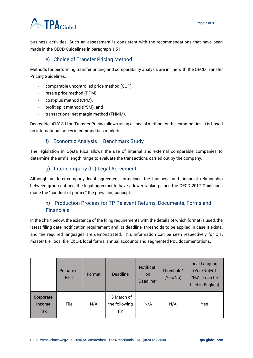

business activities. Such an assessment is consistent with the recommendations that have been made in the OECD Guidelines in paragraph 1.51.

# e) Choice of Transfer Pricing Method

<span id="page-6-0"></span>Methods for performing transfer pricing and comparability analysis are in line with the OECD Transfer Pricing Guidelines.

- comparable uncontrolled price method (CUP),
- resale price method (RPM),
- cost-plus method (CPM),
- profit split method (PSM), and
- transactional net margin method (TNMM).

Decree No. 41818-H on Transfer Pricing allows using a special method for the commodities. It is based on international prices in commodities markets.

## f) Economic Analysis – Benchmark Study

<span id="page-6-1"></span>The legislation in Costa Rica allows the use of internal and external comparable companies to determine the arm's length range to evaluate the transactions carried out by the company.

# g) Inter-company (IC) Legal Agreement

<span id="page-6-2"></span>Although an Inter-company legal agreement formalises the business and financial relationship between group entities, the legal agreements have a lower ranking since the OECD 2017 Guidelines made the "conduct of parties" the prevailing concept.

# <span id="page-6-3"></span>h) Production Process for TP Relevant Returns, Documents, Forms and Financials

In the chart below, the existence of the filing requirements with the details of which format is used, the latest filing date, notification requirement and its deadline, thresholds to be applied in case it exists, and the required languages are demonstrated. This information can be seen respectively for CIT, master file, local file, CbCR, local forms, annual accounts and segmented P&L documentations.

|                                          | Prepare or<br>File? | Format | <b>Deadline</b>                    | <b>Notificati</b><br>on.<br>Deadline* | Threshold*<br>(Yes/No) | Local Language<br>(Yes/No)*(If<br>"No", it can be<br>filed in English) |
|------------------------------------------|---------------------|--------|------------------------------------|---------------------------------------|------------------------|------------------------------------------------------------------------|
| Corporate<br><b>Income</b><br><b>Tax</b> | File                | N/A    | 15 March of<br>the following<br>FY | N/A                                   | N/A                    | Yes                                                                    |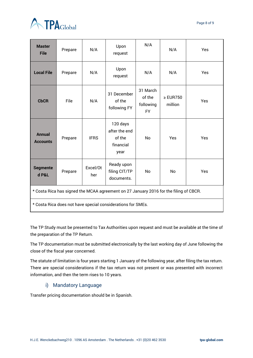

| <b>Master</b><br><b>File</b>                                                          | Prepare | N/A             | Upon<br>request                                          | N/A                                          | N/A                      | Yes |  |  |  |
|---------------------------------------------------------------------------------------|---------|-----------------|----------------------------------------------------------|----------------------------------------------|--------------------------|-----|--|--|--|
| <b>Local File</b>                                                                     | Prepare | N/A             | Upon<br>request                                          | N/A                                          | N/A                      | Yes |  |  |  |
| <b>CbCR</b>                                                                           | File    | N/A             | 31 December<br>of the<br>following FY                    | 31 March<br>of the<br>following<br><b>FY</b> | $\geq$ EUR750<br>million | Yes |  |  |  |
| <b>Annual</b><br><b>Accounts</b>                                                      | Prepare | <b>IFRS</b>     | 120 days<br>after the end<br>of the<br>financial<br>year | <b>No</b>                                    | Yes                      | Yes |  |  |  |
| <b>Segmente</b><br>d P&L                                                              | Prepare | Excel/Ot<br>her | Ready upon<br>filing CIT/TP<br>documents.                | <b>No</b>                                    | <b>No</b>                | Yes |  |  |  |
| * Costa Rica has signed the MCAA agreement on 27 January 2016 for the filing of CBCR. |         |                 |                                                          |                                              |                          |     |  |  |  |
| * Costa Rica does not have special considerations for SMEs.                           |         |                 |                                                          |                                              |                          |     |  |  |  |

The TP Study must be presented to Tax Authorities upon request and must be available at the time of the preparation of the TP Return.

The TP documentation must be submitted electronically by the last working day of June following the close of the fiscal year concerned.

The statute of limitation is four years starting 1 January of the following year, after filing the tax return. There are special considerations if the tax return was not present or was presented with incorrect information, and then the term rises to 10 years.

# i) Mandatory Language

<span id="page-7-0"></span>Transfer pricing documentation should be in Spanish.